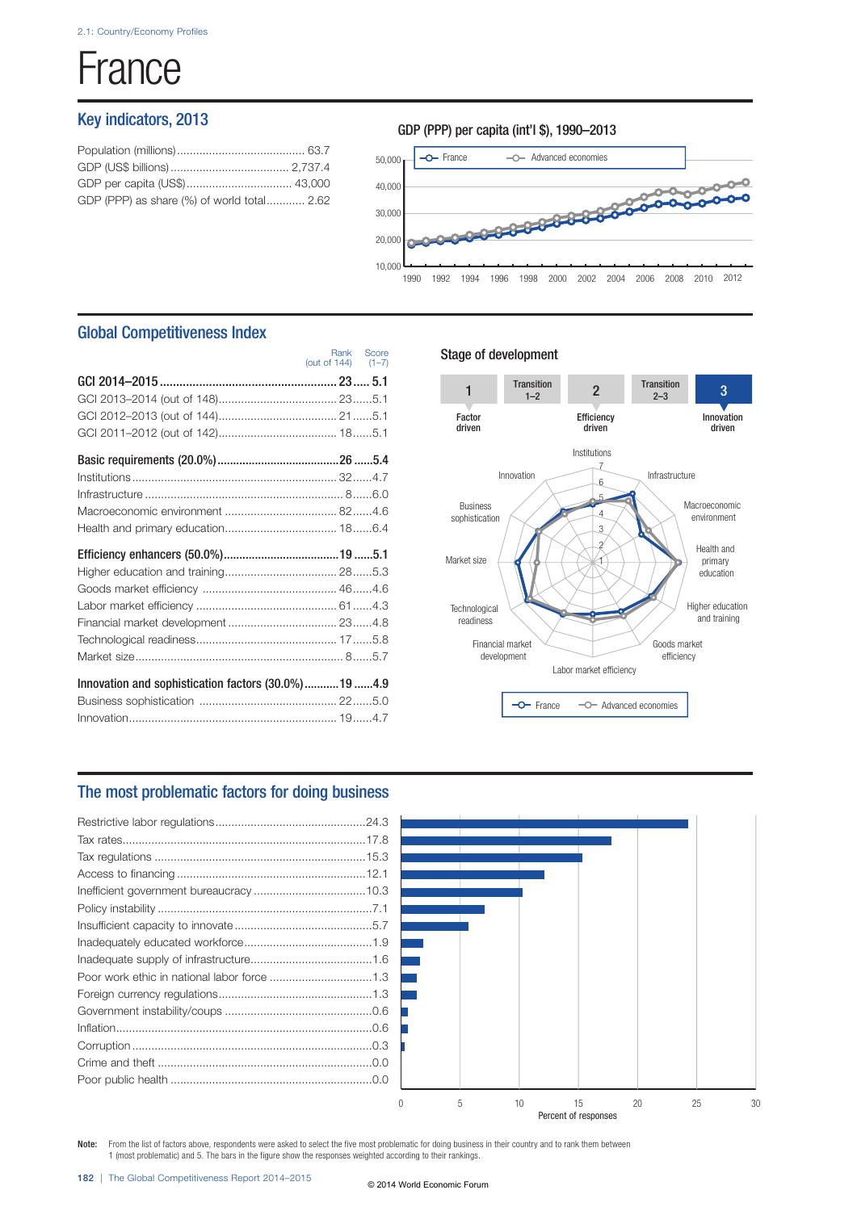# **France**

# Key indicators, 2013

| GDP (PPP) as share (%) of world total 2.62 |  |
|--------------------------------------------|--|
|                                            |  |



# Global Competitiveness Index

|                                                     | (out of 144) (1-7) | Rank Score |
|-----------------------------------------------------|--------------------|------------|
|                                                     |                    |            |
|                                                     |                    |            |
|                                                     |                    |            |
|                                                     |                    |            |
|                                                     |                    |            |
|                                                     |                    |            |
|                                                     |                    |            |
|                                                     |                    |            |
|                                                     |                    |            |
|                                                     |                    |            |
|                                                     |                    |            |
|                                                     |                    |            |
|                                                     |                    |            |
|                                                     |                    |            |
|                                                     |                    |            |
|                                                     |                    |            |
| Innovation and sophistication factors (30.0%)19 4.9 |                    |            |
|                                                     |                    |            |
|                                                     |                    |            |

## Stage of development



## The most problematic factors for doing business



Note: From the list of factors above, respondents were asked to select the five most problematic for doing business in their country and to rank them between 1 (most problematic) and 5. The bars in the figure show the responses weighted according to their rankings.